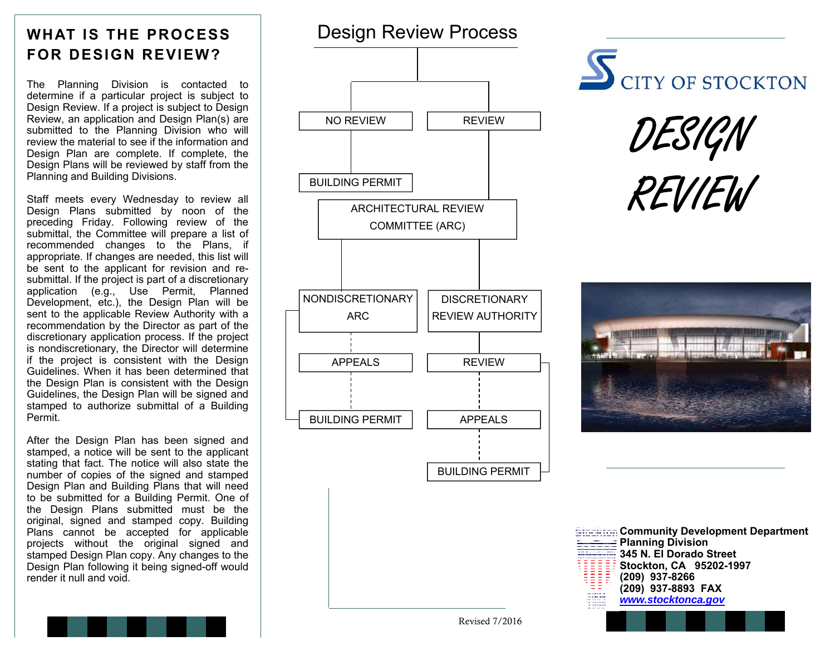# **WHAT IS THE PROCESS FOR DESIGN REVIEW?**

The Planning Division is contacted to determine if a particular project is subject to Design Review. If a project is subject to Design Review, an application and Design Plan(s) are submitted to the Planning Division who will review the material to see if the information and Design Plan are complete. If complete, the Design Plans will be reviewed by staff from the Planning and Building Divisions.

Staff meets every Wednesday to review all Design Plans submitted by noon of the preceding Friday. Following review of the submittal, the Committee will prepare a list of recommended changes to the Plans, if appropriate. If changes are needed, this list will be sent to the applicant for revision and resubmittal. If the project is part of a discretionary application (e.g., Use Permit, Planned Development, etc.), the Design Plan will be sent to the applicable Review Authority with a recommendation by the Director as part of the discretionary application process. If the project is nondiscretionary, the Director will determine if the project is consistent with the Design Guidelines. When it has been determined that the Design Plan is consistent with the Design Guidelines, the Design Plan will be signed and stamped to authorize submittal of a Building Permit.

After the Design Plan has been signed and stamped, a notice will be sent to the applicant stating that fact. The notice will also state the number of copies of the signed and stamped Design Plan and Building Plans that will need to be submitted for a Building Permit. One of the Design Plans submitted must be the original, signed and stamped copy. Building Plans cannot be accepted for applicable projects without the original signed and stamped Design Plan copy. Any changes to the Design Plan following it being signed-off would render it null and void.



 $\overline{\mathbb{S}}_{\text{CITY OF STOCKTON}}$ 

DESIGN REVIEW





Revised 7/2016

BUILDING PERMIT